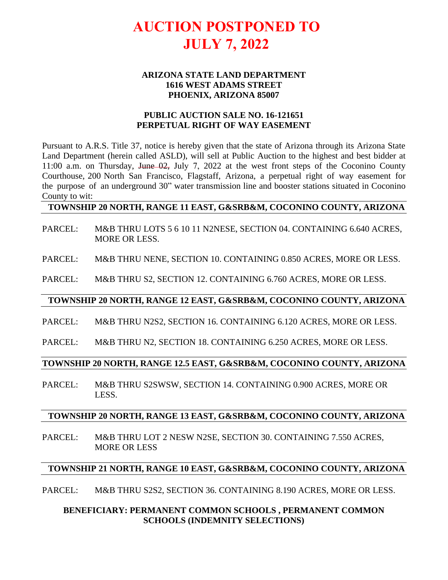# **AUCTION POSTPONED TO JULY 7, 2022**

#### **ARIZONA STATE LAND DEPARTMENT 1616 WEST ADAMS STREET PHOENIX, ARIZONA 85007**

## **PUBLIC AUCTION SALE NO. 16-121651 PERPETUAL RIGHT OF WAY EASEMENT**

Pursuant to A.R.S. Title 37, notice is hereby given that the state of Arizona through its Arizona State Land Department (herein called ASLD), will sell at Public Auction to the highest and best bidder at 11:00 a.m. on Thursday, June 02, July 7, 2022 at the west front steps of the Coconino County Courthouse, 200 North San Francisco, Flagstaff, Arizona, a perpetual right of way easement for the purpose of an underground 30" water transmission line and booster stations situated in Coconino County to wit:

### **TOWNSHIP 20 NORTH, RANGE 11 EAST, G&SRB&M, COCONINO COUNTY, ARIZONA**

PARCEL: M&B THRU LOTS 5 6 10 11 N2NESE, SECTION 04. CONTAINING 6.640 ACRES, MORE OR LESS.

PARCEL: M&B THRU NENE, SECTION 10. CONTAINING 0.850 ACRES, MORE OR LESS.

PARCEL: M&B THRU S2, SECTION 12. CONTAINING 6.760 ACRES, MORE OR LESS.

#### **TOWNSHIP 20 NORTH, RANGE 12 EAST, G&SRB&M, COCONINO COUNTY, ARIZONA**

- PARCEL: M&B THRU N2S2, SECTION 16. CONTAINING 6.120 ACRES, MORE OR LESS.
- PARCEL: M&B THRU N2, SECTION 18. CONTAINING 6.250 ACRES, MORE OR LESS.

### **TOWNSHIP 20 NORTH, RANGE 12.5 EAST, G&SRB&M, COCONINO COUNTY, ARIZONA**

PARCEL: M&B THRU S2SWSW, SECTION 14. CONTAINING 0.900 ACRES, MORE OR LESS.

#### **TOWNSHIP 20 NORTH, RANGE 13 EAST, G&SRB&M, COCONINO COUNTY, ARIZONA**

PARCEL: M&B THRU LOT 2 NESW N2SE, SECTION 30. CONTAINING 7.550 ACRES, MORE OR LESS

#### **TOWNSHIP 21 NORTH, RANGE 10 EAST, G&SRB&M, COCONINO COUNTY, ARIZONA**

PARCEL: M&B THRU S2S2, SECTION 36. CONTAINING 8.190 ACRES, MORE OR LESS.

## **BENEFICIARY: PERMANENT COMMON SCHOOLS , PERMANENT COMMON SCHOOLS (INDEMNITY SELECTIONS)**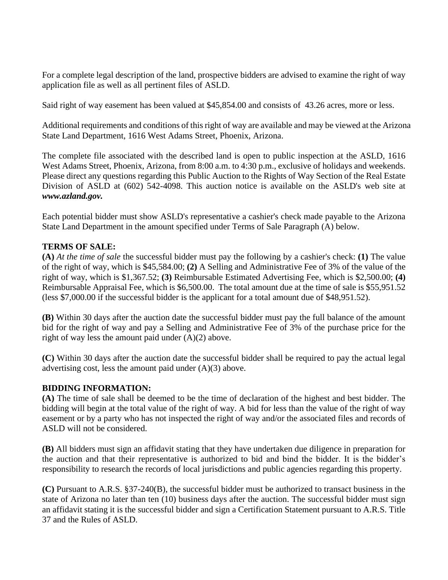For a complete legal description of the land, prospective bidders are advised to examine the right of way application file as well as all pertinent files of ASLD.

Said right of way easement has been valued at \$45,854.00 and consists of 43.26 acres, more or less.

Additional requirements and conditions of this right of way are available and may be viewed at the Arizona State Land Department, 1616 West Adams Street, Phoenix, Arizona.

The complete file associated with the described land is open to public inspection at the ASLD, 1616 West Adams Street, Phoenix, Arizona, from 8:00 a.m. to 4:30 p.m., exclusive of holidays and weekends. Please direct any questions regarding this Public Auction to the Rights of Way Section of the Real Estate Division of ASLD at (602) 542-4098. This auction notice is available on the ASLD's web site at *www.azland.gov.*

Each potential bidder must show ASLD's representative a cashier's check made payable to the Arizona State Land Department in the amount specified under Terms of Sale Paragraph (A) below.

## **TERMS OF SALE:**

**(A)** *At the time of sale* the successful bidder must pay the following by a cashier's check: **(1)** The value of the right of way, which is \$45,584.00; **(2)** A Selling and Administrative Fee of 3% of the value of the right of way, which is \$1,367.52; **(3)** Reimbursable Estimated Advertising Fee, which is \$2,500.00; **(4)** Reimbursable Appraisal Fee, which is \$6,500.00. The total amount due at the time of sale is \$55,951.52 (less \$7,000.00 if the successful bidder is the applicant for a total amount due of \$48,951.52).

**(B)** Within 30 days after the auction date the successful bidder must pay the full balance of the amount bid for the right of way and pay a Selling and Administrative Fee of 3% of the purchase price for the right of way less the amount paid under (A)(2) above.

**(C)** Within 30 days after the auction date the successful bidder shall be required to pay the actual legal advertising cost, less the amount paid under (A)(3) above.

### **BIDDING INFORMATION:**

**(A)** The time of sale shall be deemed to be the time of declaration of the highest and best bidder. The bidding will begin at the total value of the right of way. A bid for less than the value of the right of way easement or by a party who has not inspected the right of way and/or the associated files and records of ASLD will not be considered.

**(B)** All bidders must sign an affidavit stating that they have undertaken due diligence in preparation for the auction and that their representative is authorized to bid and bind the bidder. It is the bidder's responsibility to research the records of local jurisdictions and public agencies regarding this property.

**(C)** Pursuant to A.R.S. §37-240(B), the successful bidder must be authorized to transact business in the state of Arizona no later than ten (10) business days after the auction. The successful bidder must sign an affidavit stating it is the successful bidder and sign a Certification Statement pursuant to A.R.S. Title 37 and the Rules of ASLD.